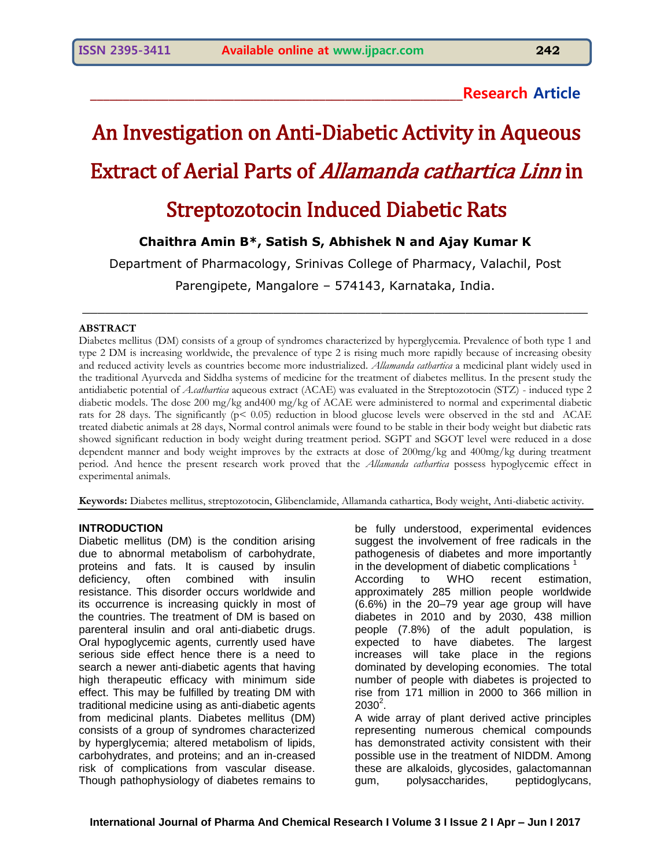### **\_\_\_\_\_\_\_\_\_\_\_\_\_\_\_\_\_\_\_\_\_\_\_\_\_\_\_\_\_\_\_\_\_\_\_\_\_\_\_\_\_\_\_\_\_\_\_\_\_\_\_\_\_\_\_\_\_Research Article**

# An Investigation on Anti-Diabetic Activity in Aqueous Extract of Aerial Parts of Allamanda cathartica Linn in

## Streptozotocin Induced Diabetic Rats

#### **Chaithra Amin B\*, Satish S, Abhishek N and Ajay Kumar K**

Department of Pharmacology, Srinivas College of Pharmacy, Valachil, Post

Parengipete, Mangalore – 574143, Karnataka, India.

 $\_$  , and the set of the set of the set of the set of the set of the set of the set of the set of the set of the set of the set of the set of the set of the set of the set of the set of the set of the set of the set of th

#### **ABSTRACT**

Diabetes mellitus (DM) consists of a group of syndromes characterized by hyperglycemia. Prevalence of both type 1 and type 2 DM is increasing worldwide, the prevalence of type 2 is rising much more rapidly because of increasing obesity and reduced activity levels as countries become more industrialized. *Allamanda cathartica* a medicinal plant widely used in the traditional Ayurveda and Siddha systems of medicine for the treatment of diabetes mellitus. In the present study the antidiabetic potential of *A.cathartica* aqueous extract (ACAE) was evaluated in the Streptozotocin (STZ) - induced type 2 diabetic models. The dose 200 mg/kg and400 mg/kg of ACAE were administered to normal and experimental diabetic rats for 28 days. The significantly (p< 0.05) reduction in blood glucose levels were observed in the std and ACAE treated diabetic animals at 28 days, Normal control animals were found to be stable in their body weight but diabetic rats showed significant reduction in body weight during treatment period. SGPT and SGOT level were reduced in a dose dependent manner and body weight improves by the extracts at dose of 200mg/kg and 400mg/kg during treatment period. And hence the present research work proved that the *Allamanda cathartica* possess hypoglycemic effect in experimental animals.

**Keywords:** Diabetes mellitus, streptozotocin, Glibenclamide, Allamanda cathartica, Body weight, Anti-diabetic activity.

#### **INTRODUCTION**

Diabetic mellitus (DM) is the condition arising due to abnormal metabolism of carbohydrate, proteins and fats. It is caused by insulin deficiency, often combined with insulin resistance. This disorder occurs worldwide and its occurrence is increasing quickly in most of the countries. The treatment of DM is based on parenteral insulin and oral anti-diabetic drugs. Oral hypoglycemic agents, currently used have serious side effect hence there is a need to search a newer anti-diabetic agents that having high therapeutic efficacy with minimum side effect. This may be fulfilled by treating DM with traditional medicine using as anti-diabetic agents from medicinal plants. Diabetes mellitus (DM) consists of a group of syndromes characterized by hyperglycemia; altered metabolism of lipids, carbohydrates, and proteins; and an in-creased risk of complications from vascular disease. Though pathophysiology of diabetes remains to

be fully understood, experimental evidences suggest the involvement of free radicals in the pathogenesis of diabetes and more importantly in the development of diabetic complications <sup>1</sup> According to WHO recent estimation, approximately 285 million people worldwide (6.6%) in the 20–79 year age group will have diabetes in 2010 and by 2030, 438 million people (7.8%) of the adult population, is expected to have diabetes. The largest increases will take place in the regions dominated by developing economies. The total number of people with diabetes is projected to rise from 171 million in 2000 to 366 million in  $2030^2$ .

A wide array of plant derived active principles representing numerous chemical compounds has demonstrated activity consistent with their possible use in the treatment of NIDDM. Among these are alkaloids, glycosides, galactomannan gum, polysaccharides, peptidoglycans,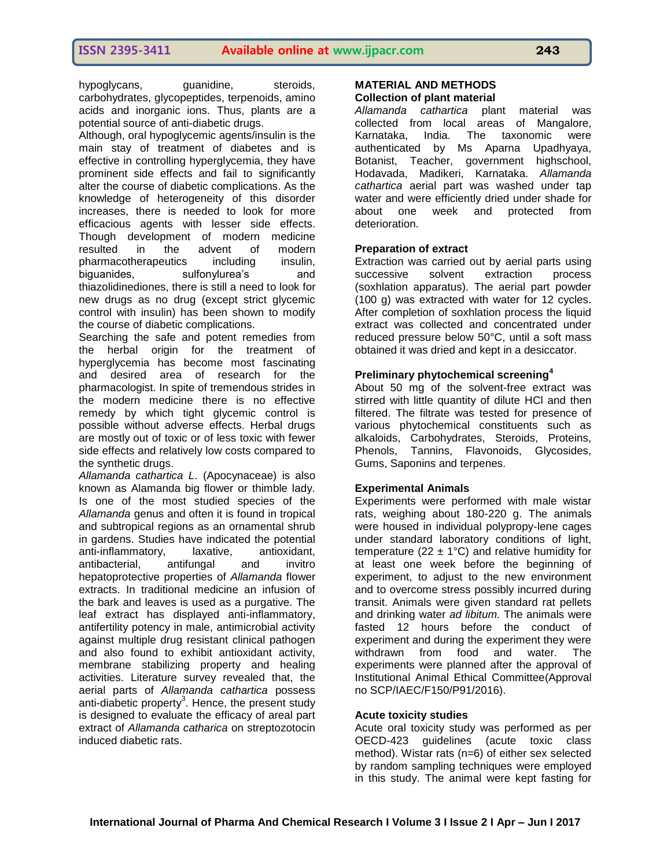hypoglycans, guanidine, steroids, carbohydrates, glycopeptides, terpenoids, amino acids and inorganic ions. Thus, plants are a potential source of anti-diabetic drugs.

Although, oral hypoglycemic agents/insulin is the main stay of treatment of diabetes and is effective in controlling hyperglycemia, they have prominent side effects and fail to significantly alter the course of diabetic complications. As the knowledge of heterogeneity of this disorder increases, there is needed to look for more efficacious agents with lesser side effects. Though development of modern medicine resulted in the advent of modern pharmacotherapeutics including insulin, biguanides, sulfonylurea's and thiazolidinediones, there is still a need to look for new drugs as no drug (except strict glycemic control with insulin) has been shown to modify the course of diabetic complications.

Searching the safe and potent remedies from the herbal origin for the treatment of hyperglycemia has become most fascinating and desired area of research for the pharmacologist. In spite of tremendous strides in the modern medicine there is no effective remedy by which tight glycemic control is possible without adverse effects. Herbal drugs are mostly out of toxic or of less toxic with fewer side effects and relatively low costs compared to the synthetic drugs.

*Allamanda cathartica L*. (Apocynaceae) is also known as Alamanda big flower or thimble lady. Is one of the most studied species of the *Allamanda* genus and often it is found in tropical and subtropical regions as an ornamental shrub in gardens. Studies have indicated the potential anti-inflammatory, laxative, antioxidant, antibacterial, antifungal and invitro hepatoprotective properties of *Allamanda* flower extracts. In traditional medicine an infusion of the bark and leaves is used as a purgative. The leaf extract has displayed anti-inflammatory, antifertility potency in male, antimicrobial activity against multiple drug resistant clinical pathogen and also found to exhibit antioxidant activity, membrane stabilizing property and healing activities. Literature survey revealed that, the aerial parts of *Allamanda cathartica* possess anti-diabetic property $3$ . Hence, the present study is designed to evaluate the efficacy of areal part extract of *Allamanda catharica* on streptozotocin induced diabetic rats.

#### **MATERIAL AND METHODS**

#### **Collection of plant material**

*Allamanda cathartica* plant material was collected from local areas of Mangalore, Karnataka, India. The taxonomic were authenticated by Ms Aparna Upadhyaya, Botanist, Teacher, government highschool, Hodavada, Madikeri, Karnataka. *Allamanda cathartica* aerial part was washed under tap water and were efficiently dried under shade for about one week and protected from deterioration.

#### **Preparation of extract**

Extraction was carried out by aerial parts using successive solvent extraction process (soxhlation apparatus). The aerial part powder (100 g) was extracted with water for 12 cycles. After completion of soxhlation process the liquid extract was collected and concentrated under reduced pressure below 50°C, until a soft mass obtained it was dried and kept in a desiccator.

#### **Preliminary phytochemical screening<sup>4</sup>**

About 50 mg of the solvent-free extract was stirred with little quantity of dilute HCl and then filtered. The filtrate was tested for presence of various phytochemical constituents such as alkaloids, Carbohydrates, Steroids, Proteins, Phenols, Tannins, Flavonoids, Glycosides, Gums, Saponins and terpenes.

#### **Experimental Animals**

Experiments were performed with male wistar rats, weighing about 180-220 g. The animals were housed in individual polypropy-lene cages under standard laboratory conditions of light, temperature (22  $\pm$  1°C) and relative humidity for at least one week before the beginning of experiment, to adjust to the new environment and to overcome stress possibly incurred during transit. Animals were given standard rat pellets and drinking water *ad libitum.* The animals were fasted 12 hours before the conduct of experiment and during the experiment they were withdrawn from food and water. The experiments were planned after the approval of Institutional Animal Ethical Committee(Approval no SCP/IAEC/F150/P91/2016).

#### **Acute toxicity studies**

Acute oral toxicity study was performed as per OECD-423 guidelines (acute toxic class method). Wistar rats (n=6) of either sex selected by random sampling techniques were employed in this study. The animal were kept fasting for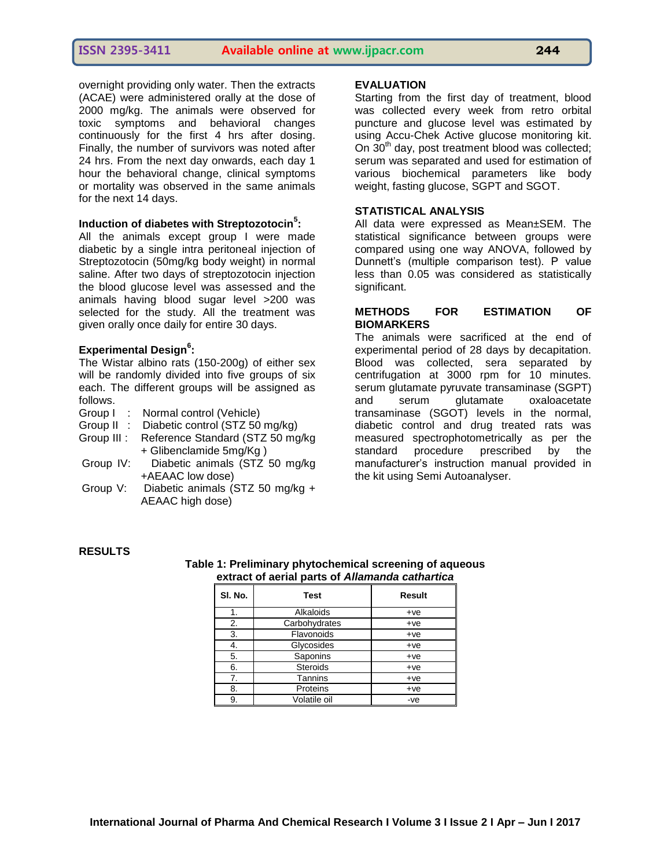overnight providing only water. Then the extracts (ACAE) were administered orally at the dose of 2000 mg/kg. The animals were observed for toxic symptoms and behavioral changes continuously for the first 4 hrs after dosing. Finally, the number of survivors was noted after 24 hrs. From the next day onwards, each day 1 hour the behavioral change, clinical symptoms or mortality was observed in the same animals for the next 14 days.

#### **Induction of diabetes with Streptozotocin<sup>5</sup> :**

All the animals except group I were made diabetic by a single intra peritoneal injection of Streptozotocin (50mg/kg body weight) in normal saline. After two days of streptozotocin injection the blood glucose level was assessed and the animals having blood sugar level >200 was selected for the study. All the treatment was given orally once daily for entire 30 days.

#### **Experimental Design<sup>6</sup> :**

The Wistar albino rats (150-200g) of either sex will be randomly divided into five groups of six each. The different groups will be assigned as follows.

- Group I : Normal control (Vehicle)
- Group II : Diabetic control (STZ 50 mg/kg)
- Group III : Reference Standard (STZ 50 mg/kg + Glibenclamide 5mg/Kg )
- Group IV: Diabetic animals (STZ 50 mg/kg +AEAAC low dose)
- Group V: Diabetic animals (STZ 50 mg/kg + AEAAC high dose)

#### **EVALUATION**

Starting from the first day of treatment, blood was collected every week from retro orbital puncture and glucose level was estimated by using Accu-Chek Active glucose monitoring kit. On  $30<sup>th</sup>$  day, post treatment blood was collected; serum was separated and used for estimation of various biochemical parameters like body weight, fasting glucose, SGPT and SGOT.

#### **STATISTICAL ANALYSIS**

All data were expressed as Mean±SEM. The statistical significance between groups were compared using one way ANOVA, followed by Dunnett's (multiple comparison test). P value less than 0.05 was considered as statistically significant.

#### **METHODS FOR ESTIMATION OF BIOMARKERS**

The animals were sacrificed at the end of experimental period of 28 days by decapitation. Blood was collected, sera separated by centrifugation at 3000 rpm for 10 minutes. serum glutamate pyruvate transaminase (SGPT) and serum glutamate oxaloacetate transaminase (SGOT) levels in the normal, diabetic control and drug treated rats was measured spectrophotometrically as per the standard procedure prescribed by the manufacturer's instruction manual provided in the kit using Semi Autoanalyser.

#### **RESULTS**

| cxuact of action parts of <i>Allamanad</i> ca <i>ularu</i> ca |                 |               |  |  |
|---------------------------------------------------------------|-----------------|---------------|--|--|
| SI. No.                                                       | <b>Test</b>     | <b>Result</b> |  |  |
| 1.                                                            | Alkaloids       | $+ve$         |  |  |
| 2.                                                            | Carbohydrates   | $+ve$         |  |  |
| 3.                                                            | Flavonoids      | $+ve$         |  |  |
| 4.                                                            | Glycosides      | $+ve$         |  |  |
| 5.                                                            | Saponins        | $+ve$         |  |  |
| 6.                                                            | <b>Steroids</b> | $+ve$         |  |  |
| 7.                                                            | Tannins         | $+ve$         |  |  |
| 8.                                                            | Proteins        | $+ve$         |  |  |
| 9.                                                            | Volatile oil    | $-ve$         |  |  |

#### **Table 1: Preliminary phytochemical screening of aqueous extract of aerial parts of** *Allamanda cathartica*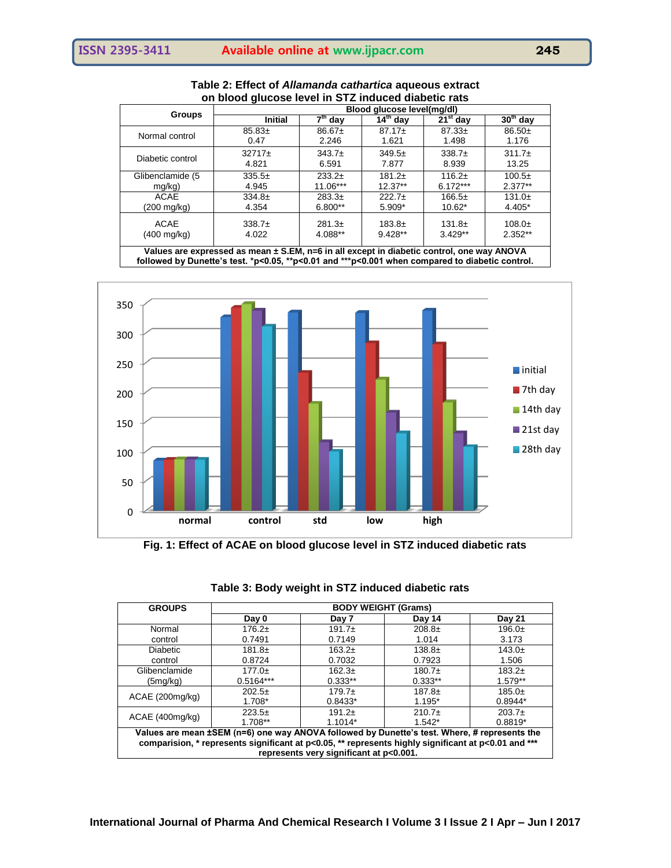| <u>UII DIUUU YIUCUSE IEVEI III JTZ IIIUUCEU UIADELIC TALS</u>                             |                            |           |             |             |            |
|-------------------------------------------------------------------------------------------|----------------------------|-----------|-------------|-------------|------------|
|                                                                                           | Blood glucose level(mg/dl) |           |             |             |            |
| <b>Groups</b>                                                                             | <b>Initial</b>             | $7th$ day | $14th$ day  | $21st$ day  | $30th$ day |
| Normal control                                                                            | $85.83+$                   | $86.67+$  | $87.17 \pm$ | $87.33 \pm$ | $86.50+$   |
|                                                                                           | 0.47                       | 2.246     | 1.621       | 1.498       | 1.176      |
| Diabetic control                                                                          | $32717 \pm$                | $343.7+$  | $349.5+$    | $338.7+$    | $311.7+$   |
|                                                                                           | 4.821                      | 6.591     | 7.877       | 8.939       | 13.25      |
| Glibenclamide (5                                                                          | $335.5+$                   | $233.2+$  | $181.2+$    | $116.2+$    | $100.5+$   |
| $mg/kg$ )                                                                                 | 4.945                      | 11.06***  | $12.37**$   | $6.172***$  | $2.377**$  |
| ACAE                                                                                      | $334.8+$                   | $283.3+$  | $222.7+$    | $166.5+$    | $131.0+$   |
| (200 mg/kg)                                                                               | 4.354                      | 6.800**   | 5.909*      | $10.62*$    | 4.405*     |
| <b>ACAE</b>                                                                               | $338.7+$                   | $281.3+$  | $183.8+$    | $131.8+$    | $108.0+$   |
| (400 mg/kg)                                                                               | 4.022                      | 4.088**   | $9.428**$   | $3.429**$   | $2.352**$  |
| Values are expressed as mean + S FM, n-6 in all except in diabetic control, one way ANOVA |                            |           |             |             |            |

| Table 2: Effect of Allamanda cathartica aqueous extract |
|---------------------------------------------------------|
| on blood glucose level in STZ induced diabetic rats     |

**Ppt in diabetic control, one way ANOVA followed by Dunette's test. \*p<0.05, \*\*p<0.01 and \*\*\*p<0.001 when compared to diabetic control.**



**Fig. 1: Effect of ACAE on blood glucose level in STZ induced diabetic rats**

| <b>GROUPS</b>                                                                                            | <b>BODY WEIGHT (Grams)</b> |           |           |               |  |
|----------------------------------------------------------------------------------------------------------|----------------------------|-----------|-----------|---------------|--|
|                                                                                                          | Day 0                      | Day 7     | Day 14    | <b>Day 21</b> |  |
| Normal                                                                                                   | $176.2+$                   | $191.7+$  | $208.8+$  | $196.0+$      |  |
| control                                                                                                  | 0.7491                     | 0.7149    | 1.014     | 3.173         |  |
| <b>Diabetic</b>                                                                                          | $181.8+$                   | $163.2+$  | $138.8+$  | $143.0+$      |  |
| control                                                                                                  | 0.8724                     | 0.7032    | 0.7923    | 1.506         |  |
| Glibenclamide                                                                                            | $177.0+$                   | $162.3+$  | $180.7+$  | $183.2+$      |  |
| (5mg/kg)                                                                                                 | $0.5164***$                | $0.333**$ | $0.333**$ | $1.579**$     |  |
| ACAE (200mg/kg)                                                                                          | $202.5+$                   | $179.7+$  | $187.8+$  | $185.0+$      |  |
|                                                                                                          | $1.708*$                   | $0.8433*$ | $1.195*$  | $0.8944*$     |  |
|                                                                                                          | $223.5+$                   | $191.2+$  | $210.7+$  | $203.7+$      |  |
| ACAE (400mg/kg)                                                                                          | $1.708**$                  | $1.1014*$ | $1.542*$  | $0.8819*$     |  |
| Values are mean ±SEM (n=6) one way ANOVA followed by Dunette's test. Where, # represents the             |                            |           |           |               |  |
| comparision, * represents significant at $p<0.05$ , ** represents highly significant at $p<0.01$ and *** |                            |           |           |               |  |
| represents very significant at p<0.001.                                                                  |                            |           |           |               |  |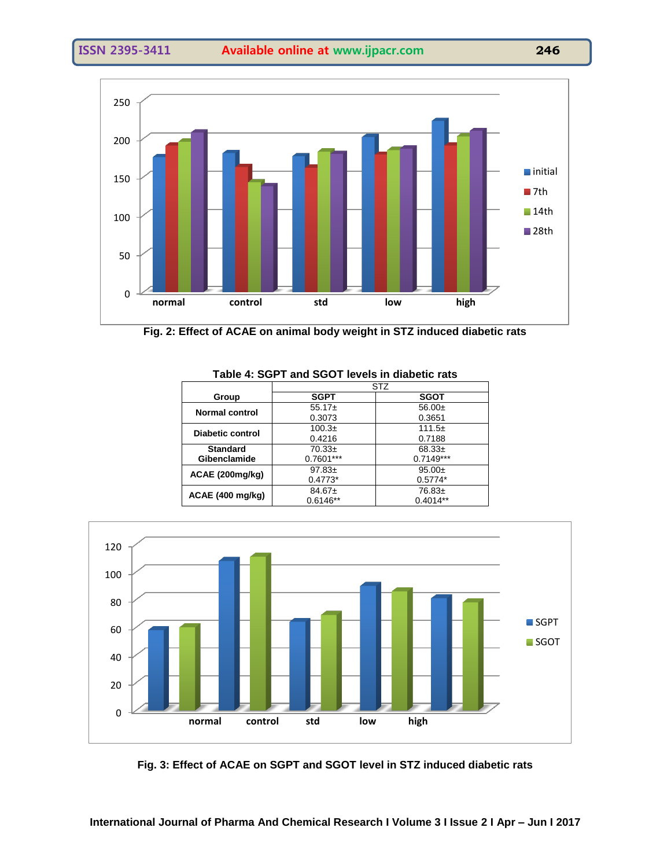

**Fig. 2: Effect of ACAE on animal body weight in STZ induced diabetic rats**

| <b>STZ</b>             |             |  |
|------------------------|-------------|--|
| <b>SGPT</b>            | <b>SGOT</b> |  |
| $55.17+$               | $56.00+$    |  |
| 0.3073                 | 0.3651      |  |
| $100.3+$               | $111.5+$    |  |
| 0.4216                 | 0.7188      |  |
| $70.33+$               | $68.33+$    |  |
| $0.7601***$            | $0.7149***$ |  |
| $97.83 \pm$            | $95.00+$    |  |
| $0.4773*$<br>$0.5774*$ |             |  |
| $84.67 \pm$            | $76.83+$    |  |
| $0.6146**$             | $0.4014**$  |  |
|                        |             |  |



**Fig. 3: Effect of ACAE on SGPT and SGOT level in STZ induced diabetic rats**